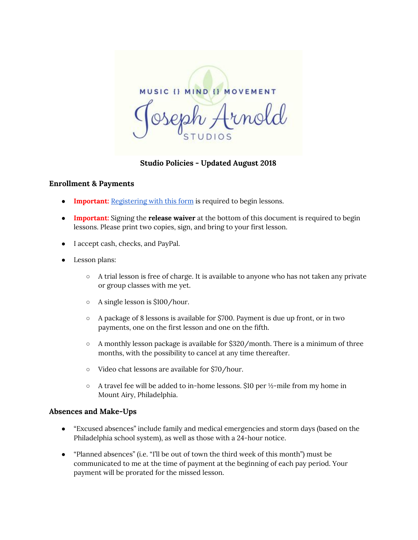**MUSIC () MIND () MOVEMENT** 

**Studio Policies - Updated August 2018**

#### **Enrollment & Payments**

- **Important:** [Registering](https://goo.gl/forms/7jq1UxBP5bd74Kj93) with this form is required to begin lessons.
- **Important:** Signing the **release waiver** at the bottom of this document is required to begin lessons. Please print two copies, sign, and bring to your first lesson.
- I accept cash, checks, and PayPal.
- Lesson plans:
	- A trial lesson is free of charge. It is available to anyone who has not taken any private or group classes with me yet.
	- A single lesson is \$100/hour.
	- $\circ$  A package of 8 lessons is available for \$700. Payment is due up front, or in two payments, one on the first lesson and one on the fifth.
	- $\circ$  A monthly lesson package is available for \$320/month. There is a minimum of three months, with the possibility to cancel at any time thereafter.
	- Video chat lessons are available for \$70/hour.
	- $\circ$  A travel fee will be added to in-home lessons. \$10 per  $\frac{1}{2}$ -mile from my home in Mount Airy, Philadelphia.

#### **Absences and Make-Ups**

- "Excused absences" include family and medical emergencies and storm days (based on the Philadelphia school system), as well as those with a 24-hour notice.
- "Planned absences" (i.e. "I'll be out of town the third week of this month") must be communicated to me at the time of payment at the beginning of each pay period. Your payment will be prorated for the missed lesson.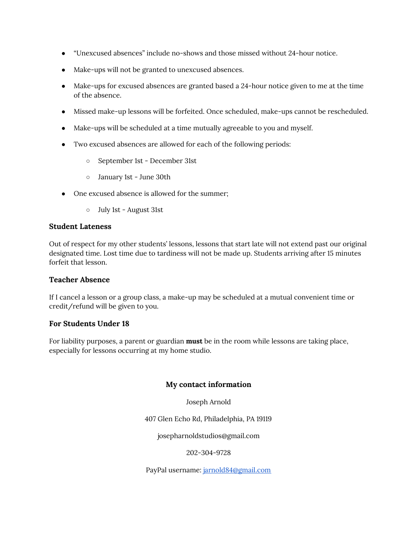- "Unexcused absences" include no-shows and those missed without 24-hour notice.
- Make-ups will not be granted to unexcused absences.
- Make-ups for excused absences are granted based a 24-hour notice given to me at the time of the absence.
- Missed make-up lessons will be forfeited. Once scheduled, make-ups cannot be rescheduled.
- Make-ups will be scheduled at a time mutually agreeable to you and myself.
- Two excused absences are allowed for each of the following periods:
	- September 1st December 31st
	- January 1st June 30th
- One excused absence is allowed for the summer;
	- July 1st August 31st

#### **Student Lateness**

Out of respect for my other students' lessons, lessons that start late will not extend past our original designated time. Lost time due to tardiness will not be made up. Students arriving after 15 minutes forfeit that lesson.

#### **Teacher Absence**

If I cancel a lesson or a group class, a make-up may be scheduled at a mutual convenient time or credit/refund will be given to you.

#### **For Students Under 18**

For liability purposes, a parent or guardian **must** be in the room while lessons are taking place, especially for lessons occurring at my home studio.

#### **My contact information**

Joseph Arnold

407 Glen Echo Rd, Philadelphia, PA 19119

josepharnoldstudios@gmail.com

#### 202-304-9728

PayPal username: [jarnold84@gmail.com](mailto:jarnold84@gmail.com)